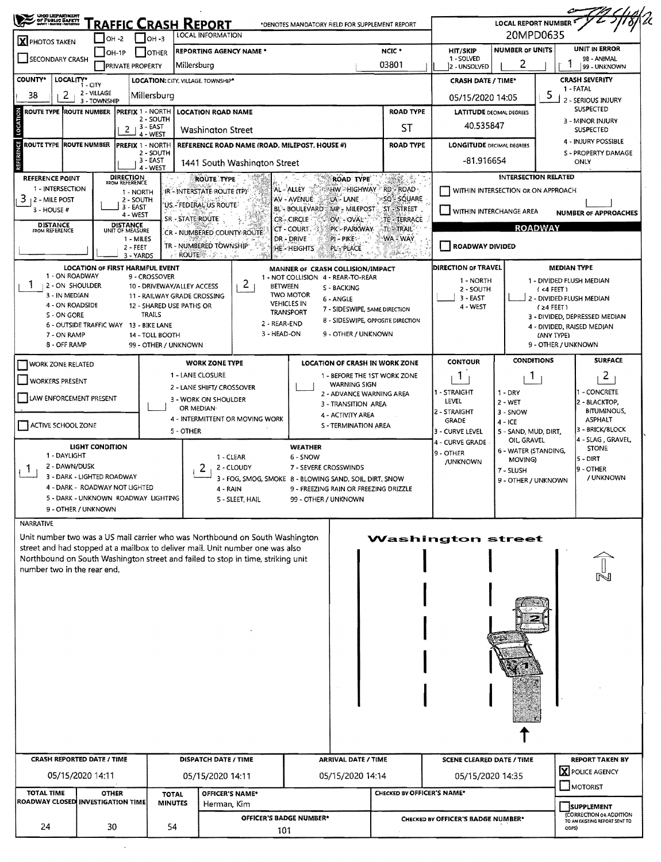| ORD DEPARTMENT                                                                                                                  |                                         | <b>RAFFIC CRASH REPORT</b>                                |                                |                                                                                                                                                               | *DENOTES MANDATORY FIELD FOR SUPPLEMENT REPORT                                         |                                                               |                                                   | <b>LOCAL REPORT NUMBER</b>           |                                                                                 |  |  |  |
|---------------------------------------------------------------------------------------------------------------------------------|-----------------------------------------|-----------------------------------------------------------|--------------------------------|---------------------------------------------------------------------------------------------------------------------------------------------------------------|----------------------------------------------------------------------------------------|---------------------------------------------------------------|---------------------------------------------------|--------------------------------------|---------------------------------------------------------------------------------|--|--|--|
| <b>X</b> PHOTOS TAKEN                                                                                                           | $IOH -2$                                | он-з                                                      |                                | <b>LOCAL INFORMATION</b>                                                                                                                                      |                                                                                        |                                                               |                                                   | 20MPD0635                            |                                                                                 |  |  |  |
| <b>REPORTING AGENCY NAME *</b><br>$IOH-IP$<br><b>JOTHER</b><br><b>SECONDARY CRASH</b><br>Millersburg<br><b>PRIVATE PROPERTY</b> |                                         |                                                           |                                |                                                                                                                                                               |                                                                                        | NCIC *<br>03801                                               |                                                   |                                      | <b>UNIT IN ERROR</b><br><b>NUMBER OF UNITS</b><br>98 - ANIMAL<br>99 - UNKNOWN   |  |  |  |
| <b>COUNTY*</b><br>LOCALITY*                                                                                                     |                                         |                                                           |                                | LOCATION: CITY, VILLAGE, TOWNSHIP*                                                                                                                            |                                                                                        |                                                               | <b>CRASH DATE / TIME*</b>                         |                                      | <b>CRASH SEVERITY</b>                                                           |  |  |  |
| 38<br>2                                                                                                                         | 1 - CITY<br>2 - VILLAGE<br>3 - TOWNSHIP | Millersburg                                               |                                |                                                                                                                                                               |                                                                                        | 05/15/2020 14:05                                              | 1 - FATAL<br>5<br>2 - SERIOUS INJURY              |                                      |                                                                                 |  |  |  |
| ROUTE TYPE ROUTE NUMBER PREFIX 1 - NORTH                                                                                        |                                         | 2 - SOUTH                                                 |                                | <b>LOCATION ROAD NAME</b>                                                                                                                                     |                                                                                        | <b>ROAD TYPE</b>                                              | <b>LATITUDE DECIMAL DEGREES</b>                   | <b>SUSPECTED</b><br>3 - MINOR INJURY |                                                                                 |  |  |  |
|                                                                                                                                 |                                         | $2 + 3 - EAST$<br>4 - WEST                                |                                | Washington Street                                                                                                                                             |                                                                                        | 40.535847                                                     | <b>SUSPECTED</b>                                  |                                      |                                                                                 |  |  |  |
| ROUTE TYPE ROUTE NUMBER                                                                                                         |                                         | <b> PREFIX 1 - NORTH</b><br>2 - SOUTH                     |                                | REFERENCE ROAD NAME (ROAD, MILEPOST, HOUSE #)                                                                                                                 |                                                                                        | <b>LONGITUDE DECIMAL DEGREES</b>                              | 4 - INJURY POSSIBLE<br><b>S - PROPERTY DAMAGE</b> |                                      |                                                                                 |  |  |  |
| REFERENCE POINT                                                                                                                 |                                         | 3 EAST<br>4 - WEST<br><b>DIRECTION</b>                    |                                | 1441 South Washington Street<br><b>ROUTE TYPE</b>                                                                                                             | <b>ROAD TYPE</b>                                                                       |                                                               | -81.916654                                        |                                      | ONLY<br><b>INTERSECTION RELATED</b>                                             |  |  |  |
| 1 - INTERSECTION<br>3.                                                                                                          |                                         | FROM REFERENCE<br>1 - NORTH                               |                                | IR-INTERSTATE ROUTE (TP)                                                                                                                                      | HW HIGHWAY RD ROAD<br>AL - ALLEY                                                       | SQ'- SQUARE                                                   | WITHIN INTERSECTION OR ON APPROACH                |                                      |                                                                                 |  |  |  |
| 2 - MILE POST<br>$3 -$ HOUSE #                                                                                                  |                                         | 2 - SOUTH<br>$3 - EAST$<br>4 - WEST                       |                                | `US.-`FEDERAL`US ROUTE`                                                                                                                                       | AV - AVENUE.<br>LA - LANE<br><b>BL- BOULEVARD</b><br>MP - MILEPOST<br>CR-CIRCLE        | ST-STREET                                                     | WITHIN INTERCHANGE AREA                           |                                      | <b>NUMBER OF APPROACHES</b>                                                     |  |  |  |
| <b>DISTANCE</b><br>FROM REFERENCE                                                                                               |                                         | <b>DISTANCE</b><br>UNIT OF MEASURE                        | SR - STATE ROUTE               | CR - NUMBERED COUNTY ROUTE                                                                                                                                    | OV - OVAL<br>ET - COURT<br>PK - PARKWAY                                                | <b>TE-TERRACE</b><br>TL-TRAIL                                 |                                                   |                                      | <b>ROADWAY</b>                                                                  |  |  |  |
|                                                                                                                                 |                                         | 1 - MILES<br>2 - FEET<br>3 - YARDS                        | <b>ROUTE</b>                   | TR - NUMBERED TOWNSHIP<br>200 a mai                                                                                                                           | DR - DRIVE<br>$PI - PIKE$<br>HE - HEIGHTS<br>PL-PLACE                                  | WA "WAY                                                       | ROADWAY DIVIDED                                   |                                      |                                                                                 |  |  |  |
| 1 - ON ROADWAY                                                                                                                  |                                         | <b>LOCATION OF FIRST HARMFUL EVENT</b>                    |                                |                                                                                                                                                               | MANNER OF CRASH COLLISION/IMPACT                                                       |                                                               | DIRECTION OF TRAVEL                               |                                      | <b>MEDIAN TYPE</b>                                                              |  |  |  |
| 2 - ON SHOULDER                                                                                                                 |                                         | 9 - CROSSOVER<br>10 - DRIVEWAY/ALLEY ACCESS               |                                | 2                                                                                                                                                             | 1 - NOT COLLISION 4 - REAR-TO-REAR<br><b>BETWEEN</b><br>S - BACKING                    | 1 - DIVIDED FLUSH MEDIAN<br>1 - NORTH<br>2 - SOUTH<br>(4 FET) |                                                   |                                      |                                                                                 |  |  |  |
| 3 - IN MEDIAN<br>4 - ON ROADSIDE                                                                                                |                                         | 11 - RAILWAY GRADE CROSSING<br>12 - SHARED USE PATHS OR   |                                |                                                                                                                                                               | <b>TWO MOTOR</b><br>6 - ANGLE<br><b>VEHICLES IN</b>                                    |                                                               | $3 - EAST$                                        |                                      | 2 - DIVIDED FLUSH MEDIAN                                                        |  |  |  |
| S - ON GORE                                                                                                                     |                                         | TRAILS                                                    |                                |                                                                                                                                                               | 7 - SIDESWIPE, SAME DIRECTION<br><b>TRANSPORT</b><br>8 - SIDESWIPE, OPPOSITE DIRECTION |                                                               | $4 - WEST$                                        |                                      | $(24$ FEET)<br>3 - DIVIDED, DEPRESSED MEDIAN                                    |  |  |  |
| 7 - ON RAMP                                                                                                                     |                                         | 6 - OUTSIDE TRAFFIC WAY 13 - BIKE LANE<br>14 - TOLL BOOTH |                                |                                                                                                                                                               | 2 - REAR-END<br>3 - HEAD-ON<br>9 - OTHER / UNKNOWN                                     |                                                               |                                                   |                                      | 4 - DIVIDED, RAISED MEDIAN<br>(ANY TYPE)                                        |  |  |  |
| 8 - OFF RAMP                                                                                                                    |                                         | 99 - OTHER / UNKNOWN                                      |                                |                                                                                                                                                               |                                                                                        |                                                               |                                                   |                                      | 9 - OTHER / UNKNOWN                                                             |  |  |  |
| <b>WORK ZONE TYPE</b><br><b>WORK ZONE RELATED</b><br>1 - LANE CLOSURE                                                           |                                         |                                                           |                                |                                                                                                                                                               | <b>LOCATION OF CRASH IN WORK ZONE</b><br>1 - BEFORE THE 1ST WORK ZONE                  | CONTOUR                                                       | <b>CONDITIONS</b>                                 | <b>SURFACE</b>                       |                                                                                 |  |  |  |
| <b>WORKERS PRESENT</b>                                                                                                          |                                         |                                                           |                                | 2 - LANE SHIFT/ CROSSOVER                                                                                                                                     | <b>WARNING SIGN</b>                                                                    | 1<br>1 - STRAIGHT                                             | -1                                                | $\overline{2}$<br>I - CONCRETE       |                                                                                 |  |  |  |
| LAW ENFORCEMENT PRESENT                                                                                                         |                                         |                                                           |                                | 3 - WORK ON SHOULDER<br>OR MEDIAN-                                                                                                                            | 2 - ADVANCE WARNING AREA<br>3 - TRANSITION AREA                                        |                                                               | LEVEL                                             | $1 - DRY$<br>2 - WET                 | 2 - BLACKTOP,                                                                   |  |  |  |
| ACTIVE SCHOOL ZONE                                                                                                              |                                         |                                                           |                                | 4 - INTERMITTENT OR MOVING WORK                                                                                                                               | 4 - ACTIVITY AREA<br><b>S - TERMINATION AREA</b>                                       |                                                               | 2 - STRAIGHT<br>GRADE                             | $3 -$ SNOW<br>$4 - ICE$              | <b>BITUMINOUS,</b><br><b>ASPHALT</b>                                            |  |  |  |
|                                                                                                                                 |                                         |                                                           | 5 - OTHER                      |                                                                                                                                                               |                                                                                        |                                                               | 3 - CURVE LEVEL<br>4 - CURVE GRADE                | 5 - SAND, MUD, DIRT,<br>OIL, GRAVEL  | 3 - BRICK/BLOCK<br>4 - SLAG , GRAVEL,                                           |  |  |  |
| LIGHT CONDITION<br>1 - DAYLIGHT<br>1 - CLEAR                                                                                    |                                         |                                                           |                                |                                                                                                                                                               | <b>WEATHER</b><br>6 - SNOW                                                             |                                                               | 9 - OTHER<br>/UNKNOWN                             | 6 - WATER (STANDING,<br>MOVING)      | <b>STONE</b><br>$5 - DIRT$                                                      |  |  |  |
| 2 - DAWN/DUSK<br>Ŧ                                                                                                              | 3 - DARK - LIGHTED ROADWAY              |                                                           |                                | 2<br>2 - CLOUDY                                                                                                                                               | 7 - SEVERE CROSSWINDS<br>3 - FOG, SMOG, SMOKE 8 - BLOWING SAND, SOIL, DIRT, SNOW       |                                                               |                                                   |                                      | 9 - OTHER<br>/ UNKNOWN                                                          |  |  |  |
|                                                                                                                                 | 4 - DARK - ROADWAY NOT LIGHTED          |                                                           |                                | 4 - RAIN                                                                                                                                                      | 9 - FREEZING RAIN OR FREEZING DRIZZLE                                                  |                                                               | 9 - OTHER / UNKNOWN                               |                                      |                                                                                 |  |  |  |
|                                                                                                                                 | 9 - OTHER / UNKNOWN                     | 5 - DARK - UNKNOWN ROADWAY LIGHTING                       |                                | 5 - SLEET, HAIL                                                                                                                                               | 99 - OTHER / UNKNOWN                                                                   |                                                               |                                                   |                                      |                                                                                 |  |  |  |
| <b>NARRATIVE</b>                                                                                                                |                                         |                                                           |                                |                                                                                                                                                               |                                                                                        |                                                               |                                                   |                                      |                                                                                 |  |  |  |
|                                                                                                                                 |                                         |                                                           |                                | Unit number two was a US mail carrier who was Northbound on South Washington<br>street and had stopped at a mailbox to deliver mail. Unit number one was also |                                                                                        |                                                               | <b>Washington street</b>                          |                                      |                                                                                 |  |  |  |
|                                                                                                                                 |                                         |                                                           |                                | Northbound on South Washington street and failed to stop in time, striking unit                                                                               |                                                                                        |                                                               |                                                   |                                      |                                                                                 |  |  |  |
| number two in the rear end.                                                                                                     |                                         |                                                           |                                |                                                                                                                                                               |                                                                                        |                                                               |                                                   |                                      |                                                                                 |  |  |  |
|                                                                                                                                 |                                         |                                                           |                                |                                                                                                                                                               |                                                                                        |                                                               |                                                   |                                      |                                                                                 |  |  |  |
|                                                                                                                                 |                                         |                                                           |                                |                                                                                                                                                               |                                                                                        |                                                               |                                                   |                                      |                                                                                 |  |  |  |
|                                                                                                                                 |                                         |                                                           |                                |                                                                                                                                                               |                                                                                        |                                                               |                                                   |                                      |                                                                                 |  |  |  |
|                                                                                                                                 |                                         |                                                           |                                |                                                                                                                                                               |                                                                                        |                                                               |                                                   |                                      |                                                                                 |  |  |  |
|                                                                                                                                 |                                         |                                                           |                                |                                                                                                                                                               |                                                                                        |                                                               |                                                   |                                      |                                                                                 |  |  |  |
|                                                                                                                                 |                                         |                                                           |                                |                                                                                                                                                               |                                                                                        |                                                               |                                                   |                                      |                                                                                 |  |  |  |
|                                                                                                                                 |                                         |                                                           |                                |                                                                                                                                                               |                                                                                        |                                                               |                                                   |                                      |                                                                                 |  |  |  |
|                                                                                                                                 |                                         |                                                           |                                |                                                                                                                                                               |                                                                                        |                                                               |                                                   |                                      |                                                                                 |  |  |  |
|                                                                                                                                 |                                         |                                                           |                                |                                                                                                                                                               |                                                                                        |                                                               |                                                   |                                      |                                                                                 |  |  |  |
|                                                                                                                                 |                                         |                                                           |                                |                                                                                                                                                               |                                                                                        |                                                               |                                                   |                                      |                                                                                 |  |  |  |
|                                                                                                                                 |                                         |                                                           |                                |                                                                                                                                                               |                                                                                        |                                                               |                                                   |                                      |                                                                                 |  |  |  |
| <b>CRASH REPORTED DATE / TIME</b>                                                                                               |                                         |                                                           |                                | <b>DISPATCH DATE / TIME</b>                                                                                                                                   | <b>ARRIVAL DATE / TIME</b>                                                             |                                                               | <b>SCENE CLEARED DATE / TIME</b>                  |                                      | <b>REPORT TAKEN BY</b>                                                          |  |  |  |
|                                                                                                                                 | 05/15/2020 14:11                        |                                                           |                                | 05/15/2020 14:11                                                                                                                                              | 05/15/2020 14:14                                                                       |                                                               | 05/15/2020 14:35                                  |                                      | X POLICE AGENCY                                                                 |  |  |  |
| <b>TOTAL TIME</b><br>ROADWAY CLOSED INVESTIGATION TIME                                                                          | <b>OTHER</b>                            |                                                           | <b>TOTAL</b><br><b>MINUTES</b> | OFFICER'S NAME*                                                                                                                                               |                                                                                        | CHECKED BY OFFICER'S NAME*                                    |                                                   |                                      | $\Box$ MOTORIST                                                                 |  |  |  |
| 24                                                                                                                              | 30                                      |                                                           | 54                             | Herman, Kim                                                                                                                                                   | <b>OFFICER'S BADGE NUMBER*</b>                                                         |                                                               | CHECKED BY OFFICER'S BADGE NUMBER*                |                                      | SUPPLEMENT<br>(CORRECTION OR ADDITION<br>TO AN EXISTING REPORT SENT TO<br>ODPS) |  |  |  |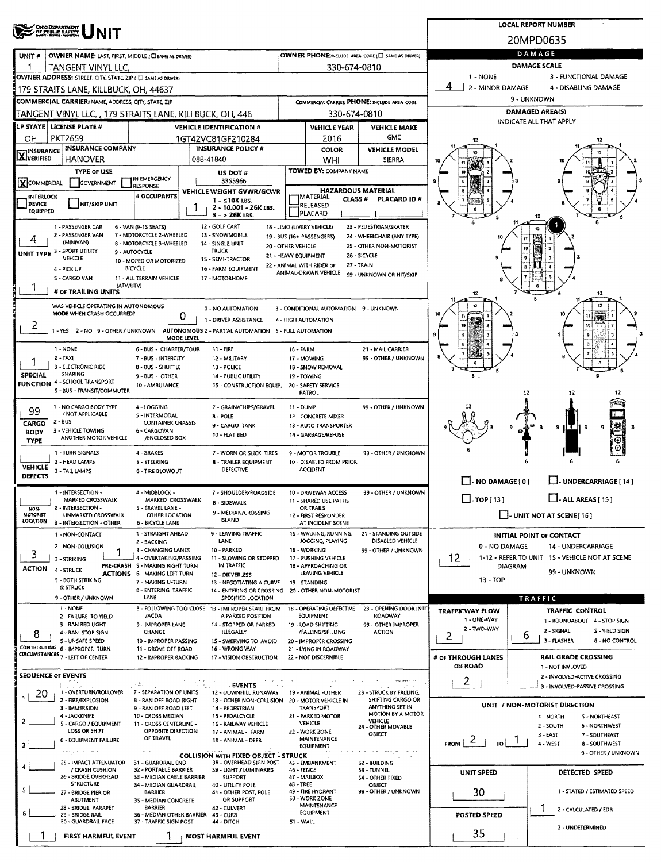| <b>OHOO DEPARTMENT</b><br>OF PUBLIC BAFETT                                                                                                                                                                               | <b>LOCAL REPORT NUMBER</b>                                             |
|--------------------------------------------------------------------------------------------------------------------------------------------------------------------------------------------------------------------------|------------------------------------------------------------------------|
|                                                                                                                                                                                                                          | 20MPD0635                                                              |
| OWNER PHONE: INCLUDE AREA CODE (E) SAME AS DRIVER)<br>UNIT#<br>OWNER NAME: LAST, FIRST, MIDDLE (CI SAME AS ORIVER)                                                                                                       | DAMAGE                                                                 |
| TANGENT VINYL LLC.<br>330-674-0810                                                                                                                                                                                       | <b>DAMAGE SCALE</b>                                                    |
| OWNER ADDRESS: STREET, CITY, STATE, ZIP ( C) SAME AS DRIVER)                                                                                                                                                             | 1 - NONE<br>3 - FUNCTIONAL DAMAGE                                      |
| 179 STRAITS LANE, KILLBUCK, OH, 44637                                                                                                                                                                                    | 4<br>2 - MINOR DAMAGE<br>4 - DISABLING DAMAGE                          |
| COMMERCIAL CARRIER: NAME, ADDRESS, CITY, STATE, ZIP<br>COMMERCIAL CARRIER PHONE: INCLUDE AREA CODE                                                                                                                       | 9 - UNKNOWN                                                            |
| 330-674-0810<br>TANGENT VINYL LLC, , 179 STRAITS LANE, KILLBUCK, OH, 446                                                                                                                                                 | <b>DAMAGED AREA(S)</b><br>INDICATE ALL THAT APPLY                      |
| LP STATE LICENSE PLATE #<br><b>VEHICLE IDENTIFICATION #</b><br><b>VEHICLE YEAR</b><br><b>VEHICLE MAKE</b>                                                                                                                |                                                                        |
| <b>GMC</b><br><b>PKT2659</b><br>2016<br>ΟН<br>1GT42VC81GF210284                                                                                                                                                          |                                                                        |
| <b>INSURANCE COMPANY</b><br><b>INSURANCE POLICY #</b><br><b>VEHICLE MODEL</b><br><b>COLOR</b><br><b>X</b> INSURANCE<br><b>HANOVER</b><br>088-41840                                                                       |                                                                        |
| WHI<br><b>SIERRA</b><br><b>TOWED BY: COMPANY NAME</b><br><b>TYPE OF USE</b>                                                                                                                                              |                                                                        |
| US DOT #<br>IN EMERGENCY<br>3355966<br>XCOMMERCIAL<br>GOVERNMENT                                                                                                                                                         |                                                                        |
| <b>ESPONSE</b><br><b>HAZARDOUS MATERIAL</b><br>VEHICLE WEIGHT GVWR/GCWR<br># OCCUPANTS                                                                                                                                   |                                                                        |
| <b>INTERLOCK</b><br><b>IMATERIAL</b><br>CLASS <sup>#</sup><br>PLACARD ID#<br>1 - ≤10K LBS.<br>HIT/SKIP UNIT<br><b>DEVICE</b><br>RELEASED<br>2 - 10,001 - 26K LBS.                                                        |                                                                        |
| EQUIPPED<br>PLACARD<br>$3 - 26K$ LBS.                                                                                                                                                                                    |                                                                        |
| 12 - GOLF CART<br>23 - PEDESTRIAN/SKATER<br>1 - PASSENGER CAR<br>6 - VAN (9~1S SEATS)<br>18 - LIMO (LIVERY VEHICLE)                                                                                                      | 12                                                                     |
| 2 - PASSENGER VAN<br>7 - MOTORCYCLE 2-WHEELED<br>13 - SNOWMOBILE<br>19 - BUS (16+ PASSENGERS)<br>24 - WHEELCHAIR (ANY TYPE)<br>4<br>(MINIVAN)<br>8 - MOTORCYCLE 3-WHEELED<br>14 - SINGLE UNIT<br>25 - OTHER NON-MOTORIST | ٢Í                                                                     |
| 20 - OTHER VEHICLE<br>UNIT TYPE 3 - SPORT UTILITY<br><b>TRUCK</b><br>9 - AUTOCYCLE<br>21 - HEAVY EQUIPMENT<br>26 - BICYCLE                                                                                               | 10<br>$\pmb{9}$                                                        |
| VEHICLE<br>15 - SEMI-TRACTOR<br>10 - MOPED OR MOTORIZED<br>27 - TRAIN<br>22 - ANIMAL WITH RIDER OR<br>4 - PICK UP<br><b>BICYCLE</b><br>16 - FARM EQUIPMENT                                                               |                                                                        |
| ANIMAL-DRAWN VEHICLE<br>99 - UNKNOWN OR HIT/SKIP<br>S - CARGO VAN<br>11 - ALL TERRAIN VEHICLE<br>17 - MOTORHOME                                                                                                          |                                                                        |
| (ATV/UTV)<br># or TRAILING UNITS                                                                                                                                                                                         | 12                                                                     |
|                                                                                                                                                                                                                          |                                                                        |
| WAS VEHICLE OPERATING IN AUTONOMOUS<br>0 - NO AUTOMATION<br>3 - CONDITIONAL AUTOMATION 9 - UNKNOWN<br>MODE WHEN CRASH OCCURRED?<br>0                                                                                     |                                                                        |
| 1 - DRIVER ASSISTANCE<br>4 - HIGH AUTOMATION<br>2                                                                                                                                                                        | 10                                                                     |
| 1 - YES 2 - NO 9 - OTHER / UNKNOWN AUTONOMOUS 2 - PARTIAL AUTOMATION 5 - FULL AUTOMATION<br>MODE LEVEL                                                                                                                   |                                                                        |
| 1 - NONE<br>6 - BUS - CHARTER/TOUR<br>$11 -$ FIRE<br><b>16 - FARM</b><br>21 - MAIL CARRIER                                                                                                                               | û                                                                      |
| 99 - OTHER / UNKNOWN<br>2 - TAXI<br>7 - BUS - INTERCITY<br>12 - MILITARY<br>17 - MOWING                                                                                                                                  |                                                                        |
| 3 - ELECTRONIC RIDE<br>8 - 8US - SHUTTLE<br>13 - POLICE<br>1B - SNOW REMOVAL<br><b>SPECIAL</b><br><b>SHARING</b><br>9 - BUS - OTHER<br><b>14 - PUBLIC UTILITY</b><br>19 - TOWING                                         |                                                                        |
| <b>FUNCTION 4 - SCHOOL TRANSPORT</b><br>10 - AMBULANCE<br>15 - CONSTRUCTION EQUIP.<br>20 - SAFETY SERVICE                                                                                                                |                                                                        |
| S - BUS - TRANSIT/COMMUTER<br>PATROL                                                                                                                                                                                     | 12<br>12                                                               |
| 1 - NO CARGO BODY TYPE<br>99 - OTHER / UNKNOWN<br>4 - LOGGING<br>7 - GRAIN/CHIPS/GRAVEL<br>11 - DUMP<br>99                                                                                                               |                                                                        |
| / NOT APPLICABLE<br>5 - INTERMODAL<br><b>B-POLE</b><br>12 - CONCRETE MIXER<br>$2 - BUS$<br>CARGO<br><b>CONTAINER CHASSIS</b>                                                                                             |                                                                        |
| 9 - CARGO TANK<br>13 - AUTO TRANSPORTER<br>3 - VEHICLE TOWING<br>6 - CARGOVAN<br><b>BODY</b><br>10 - FLAT BED<br>14 - GARBAGE/REFUSE                                                                                     | $9$   $T$   $3$<br>-3<br>9                                             |
| ANOTHER MOTOR VEHICLE<br>/ENCLOSED BOX<br><b>TYPE</b>                                                                                                                                                                    |                                                                        |
| 1 - TURN SIGNALS<br>4 - BRAKES<br>99 - OTHER / UNKNOWN<br>7 - WORN OR SLICK TIRES<br>9 - MOTOR TROUBLE                                                                                                                   |                                                                        |
| 2 - HEAD LAMPS<br>5 - STEERING<br>10 - DISABLED FROM PRIOR<br>8 - TRAILER EQUIPMENT<br><b>VEHICLE</b><br><b>DEFECTIVE</b><br>ACCIDENT                                                                                    |                                                                        |
| 3 - TAIL LAMPS<br><b>6 - TIRE BLOWOUT</b><br>DEFECTS                                                                                                                                                                     | $\Box$ - NO DAMAGE [ 0 ]<br>U-UNDERCARRIAGE [14]                       |
| 1 - INTERSECTION -<br>99 - OTHER / UNKNOWN<br>4 - MIDBLOCK -<br>7 - SHOULDER/ROADSIDE<br>10 - DRIVEWAY ACCESS                                                                                                            |                                                                        |
| MARKED CROSSWALK<br>MARKED CROSSWALK<br>11 - SHARED USE PATHS<br>8 - SIDEWALK                                                                                                                                            | $\Box$ -TOP[13]<br>$\Box$ - ALL AREAS [ 15 ]                           |
| 2 - INTERSECTION -<br>S - TRAVEL LANE -<br>OR TRAILS<br>NON-<br>9 - MEDIAN/CROSSING<br><b>MOTORIST</b><br>UNMARKED CROSSWALK<br><b>OTHER LOCATION</b><br>12 - FIRST RESPONDER                                            | $\Box$ - UNIT NOT AT SCENE [16]                                        |
| <b>ISLAND</b><br>LOCATION<br>3 - INTERSECTION - OTHER<br><b>6 - BICYCLE LANE</b><br>AT INCIDENT SCENE                                                                                                                    |                                                                        |
| 1 - STRAIGHT AHEAD<br>9 - LEAVING TRAFFIC<br>15 - WALKING, RUNNING,<br>21 - STANDING OUTSIDE<br>1 - NON-CONTACT<br>DISABLED VEHICLE<br>LANE<br>JOGGING, PLAYING<br>2 - BACKING                                           | <b>INITIAL POINT OF CONTACT</b>                                        |
| 2 - NON-COLLISION<br>3 - CHANGING LANES<br>10 - PARKED<br>16 - WORKING<br>99 - OTHER / UNKNOWN<br>3                                                                                                                      | 0 - NO DAMAGE<br>14 - UNDERCARRIAGE                                    |
| 4 - OVERTAKING/PASSING<br>11 - SLOWING OR STOPPED<br>17 - PUSHING VEHICLE<br>3 - STRIKING<br>IN TRAFFIC<br>PRE-CRASH S - MAKING RIGHT TURN<br>18 - APPROACHING OR                                                        | 12<br>1-12 - REFER TO UNIT 15 - VEHICLE NOT AT SCENE<br><b>DIAGRAM</b> |
| <b>ACTION</b><br>4 - STRUCK<br>LEAVING VEHICLE<br><b>ACTIONS 6 - MAKING LEFT TURN</b><br>12 - DRIVERLESS                                                                                                                 | 99 - UNKNOWN                                                           |
| 5 - 80TH STRIKING<br>7 - MAKING U-TURN<br>13 - NEGOTIATING A CURVE<br>19 - STANDING<br>& STRUCK<br>8 - ENTERING TRAFFIC<br>14 - ENTERING OR CROSSING 20 - OTHER NON-MOTORIST                                             | 13 - TOP                                                               |
| LANE<br>9 - OTHER / UNKNOWN<br>SPECIFIED LOCATION                                                                                                                                                                        | <b>TRAFFIC</b>                                                         |
| 1 NONE<br>8 - FOLLOWING TOO CLOSE 13 - IMPROPER START FROM<br>18 - OPERATING DEFECTIVE<br>23 - OPENING DOOR INTO                                                                                                         | <b>TRAFFIC CONTROL</b><br><b>TRAFFICWAY FLOW</b>                       |
| ROADWAY<br><b>EQUIPMENT</b><br>2 - FAILURE TO YIELD<br>/ACDA<br>A PARKED POSITION<br>3 - RAN RED LIGHT<br>9 - IMPROPER LANE<br>14 - STOPPED OR PARKED<br>19 - LOAD SHIFTING<br>99 - OTHER IMPROPER                       | 1 - ONE-WAY<br>1 - ROUNDABOUT 4 - STOP SIGN                            |
| CHANGE<br>ILLEGALLY<br>/FALLING/SPILLING<br><b>ACTION</b><br>8<br>4 - RAN STOP SIGN                                                                                                                                      | 2 - IWO-WAY<br>2 - SIGNAL<br>S - YIELD SIGN<br>6<br>2                  |
| S - UNSAFE SPEED<br>10 - IMPROPER PASSING<br>15 - SWERVING TO AVOID<br>20 - IMPROPER CROSSING<br>CONTRIBUTING 6 - IMPROPER TURN<br>11 - DROVE OFF ROAD<br>16 - WRONG WAY<br>21 - LYING IN ROADWAY                        | 3 - FLASHER<br><b>6 - NO CONTROL</b>                                   |
| CIRCUMSTANCES <sub>7 - LEFT OF CENTER</sub><br>12 - IMPROPER BACKING<br>17 - VISION OBSTRUCTION<br>22 - NOT DISCERNIBLE                                                                                                  | <b>RAIL GRADE CROSSING</b><br># OF THROUGH LANES                       |
|                                                                                                                                                                                                                          | ON ROAD<br>1 - NOT INVLOVED                                            |
| <b>SEOUENCE OF EVENTS</b><br>÷Г.,<br>- 8 -<br><b>EVENTS</b><br>د د چاک<br>್ಲ್ಯಾಕ್ ಎಸ್                                                                                                                                    | 2 - INVOLVED-ACTIVE CROSSING<br>$\mathbf{2}$                           |
| 1 - OVERTURN/ROLLOVER<br>7 - SEPARATION OF UNITS<br>12 - DOWNHILL RUNAWAY<br>19 - ANIMAL -OTHER<br>23 - STRUCK BY FALLING,<br>20                                                                                         | 3 - INVOLVED-PASSIVE CROSSING                                          |
| 2 - FIRE/EXPLOSION<br>SHIFTING CARGO OR<br>8 - RAN OFF ROAD RIGHT<br>13 - OTHER NON-COLLISION 20 - MOTOR VEHICLE IN<br>ANYTHING SET IN<br>3 - IMMERSION<br>9 - RAN OFF ROAD LEFT<br>TRANSPORT<br>14 - PEDESTRIAN         | UNIT / NON-MOTORIST DIRECTION                                          |
| MOTION BY A MOTOR<br>4 - JACKKNIFE<br>10 - CROSS MEDIAN<br>15 - PEDALCYCLE<br>21 - PARKED MOTOR<br>VEHICLE                                                                                                               | 1 - NORTH<br>S - NORTHEAST                                             |
| 2<br><b>VEHICLE</b><br>S - CARGO / EQUIPMENT<br>11 - CROSS CENTERLINE -<br>16 - RAILWAY VEHICLE<br>24 - OTHER MOVABLE<br>LOSS OR SHIFT<br>OPPOSITE DIRECTION<br>22 - WORK ZONE<br>17 - ANIMAL - FARM                     | 2 - SOUTH<br>6 - NORTHWEST                                             |
| OBJECT<br>OF TRAVEL<br>MAINTENANCE<br>6 - EQUIPMENT FAILURE<br>18 - ANIMAL - DEER                                                                                                                                        | $3 - EAST$                                                             |
|                                                                                                                                                                                                                          | 7 - SOUTHEAST<br>$\epsilon$                                            |
| 3<br><b>EQUIPMENT</b><br>لوطن المنابيع يعم                                                                                                                                                                               | FROM I<br>4 - WEST<br>TO I<br>8 - SOUTHWEST<br>9 - OTHER / UNKNOWN     |
| <b>COLLISION WITH FIXED OBJECT - STRUCK</b><br>31 - GUARDRAIL END<br>38 - OVERHEAD SIGN POST<br>25 - IMPACT ATTENUATOR<br>45 - EMBANKMENT<br>52 - 8UILDING                                                               |                                                                        |
| / CRASH CUSHION<br>32 - PORTABLE BARRIER<br>39 - LIGHT / LUMINARIES<br>46 - FENCE<br>53 - TUNNEL<br>26 - 8RIDGE OVERHEAD<br>33 - MEDIAN CABLE BARRIER<br><b>SUPPORT</b><br>47 - MAIL8OX                                  | UNIT SPEED<br><b>DETECTED SPEED</b>                                    |
| 54 - OTHER FIXED<br><b>STRUCTURE</b><br>48 - TREE<br>34 - MEDIAN GUARDRAIL<br>40 - UTILITY POLE<br><b>OBJECT</b><br>S                                                                                                    |                                                                        |
| 49 - FIRE HYDRANT<br>99 - OTHER / UNKNOWN<br>41 - OTHER POST, POLE<br>27 - BRIDGE PIER OR<br><b>BARRIER</b><br>50 - WORK ZONE<br>OR SUPPORT<br>ABUTMENT<br>35 - MEDIAN CONCRETE                                          | 30<br>1 - STATED / ESTIMATED SPEED                                     |
| <b>MAINTENANCE</b><br>28 - BRIDGE PARAPET<br><b>BARRIER</b><br>42 - CULVERT<br>EQUIPMENT                                                                                                                                 | 2 - CALCULATED / EDR                                                   |
| 29 - BRIDGE RAIL<br>36 - MEDIAN OTHER BARRIER<br>43 - CURB<br>30 - GUARDRAIL FACE<br>37 - TRAFFIC SIGN POST<br>51 - WALL<br><b>44 - DITCH</b>                                                                            | <b>POSTED SPEED</b><br>3 - UNDETERMINED                                |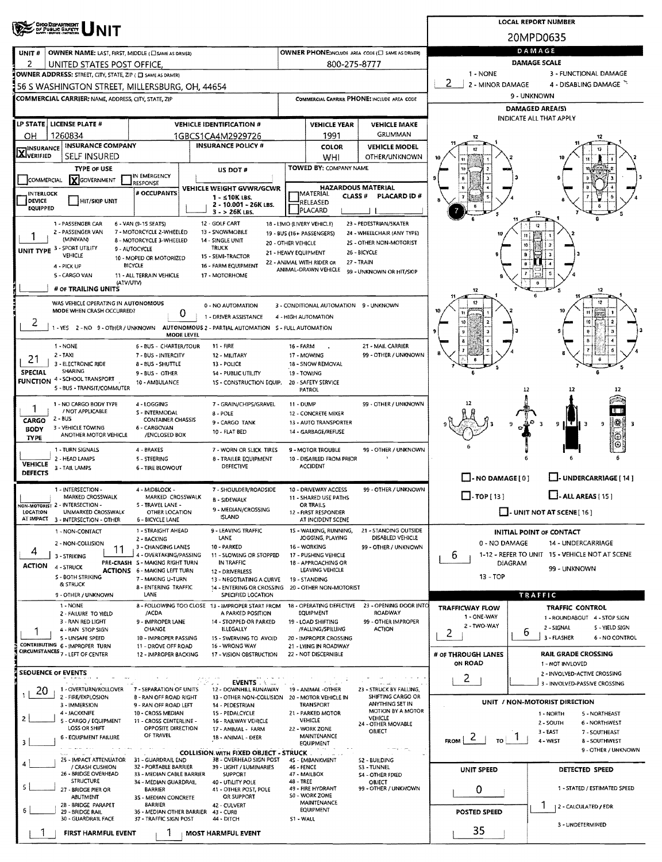| <b>OHOO DEPARTMENT</b><br>OF PUBLIC BAFETY                          |                                                                                                                              | <b>LOCAL REPORT NUMBER</b>                 |                                                 |                                                    |                        |                                                          |  |  |  |  |  |
|---------------------------------------------------------------------|------------------------------------------------------------------------------------------------------------------------------|--------------------------------------------|-------------------------------------------------|----------------------------------------------------|------------------------|----------------------------------------------------------|--|--|--|--|--|
|                                                                     |                                                                                                                              |                                            |                                                 |                                                    |                        | 20MPD0635                                                |  |  |  |  |  |
| UNIT#<br><b>OWNER NAME: LAST, FIRST, MIDDLE (C) SAME AS DRIVER)</b> |                                                                                                                              |                                            |                                                 | OWNER PHONE: INCLUDE AREA CODE (E) SAME AS DRIVERY |                        | DAMAGE                                                   |  |  |  |  |  |
| 2<br>UNITED STATES POST OFFICE.                                     |                                                                                                                              |                                            | 800-275-8777                                    |                                                    | DAMAGE SCALE           |                                                          |  |  |  |  |  |
| OWNER ADDRESS: STREET, CITY, STATE, ZIP ( C) SAME AS DRIVERY        |                                                                                                                              |                                            |                                                 |                                                    | 1 - NONE               | 3 - FUNCTIONAL DAMAGE                                    |  |  |  |  |  |
| 56 S WASHINGTON STREET, MILLERSBURG, OH, 44654                      |                                                                                                                              |                                            |                                                 |                                                    | 2<br>2 - MINOR DAMAGE  | 4 - DISABLING DAMAGE                                     |  |  |  |  |  |
| <b>COMMERCIAL CARRIER: NAME, ADDRESS, CITY, STATE, ZIP</b>          |                                                                                                                              |                                            |                                                 | COMMERCIAL CARRIER PHONE: INCLUDE AREA CODE        |                        | 9 - UNKNOWN<br>DAMAGED AREA(S)                           |  |  |  |  |  |
|                                                                     |                                                                                                                              |                                            |                                                 |                                                    |                        | <b>INDICATE ALL THAT APPLY</b>                           |  |  |  |  |  |
| LP STATE   LICENSE PLATE #                                          | <b>VEHICLE IDENTIFICATION #</b>                                                                                              |                                            | <b>VEHICLE YEAR</b>                             | <b>VEHICLE MAKE</b><br>GRUMMAN                     |                        |                                                          |  |  |  |  |  |
| 1260834<br>он<br><b>INSURANCE COMPANY</b>                           | 1GBCS1CA4M2929726<br><b>INSURANCE POLICY #</b>                                                                               |                                            | 1991<br><b>COLOR</b>                            | <b>VEHICLE MODEL</b>                               | 12                     |                                                          |  |  |  |  |  |
| <b>STINSURANCE</b><br><b>XIVERIFIED</b><br>SELF INSURED             |                                                                                                                              |                                            | WHI                                             | OTHER/UNKNOWN                                      |                        |                                                          |  |  |  |  |  |
| TYPE OF USE                                                         | US DOT #                                                                                                                     |                                            | <b>TOWED BY: COMPANY NAME</b>                   |                                                    |                        |                                                          |  |  |  |  |  |
| <b>X</b> GOVERNMENT<br>COMMERCIAL                                   | IN EMERGENCY<br>RESPONSE                                                                                                     |                                            |                                                 |                                                    |                        |                                                          |  |  |  |  |  |
| INTERLOCK                                                           | VEHICLE WEIGHT GVWR/GCWR<br># OCCUPANTS<br>$1 - 510K$ LBS.                                                                   |                                            | <b>IMATERIAL</b><br>CLASS#                      | <b>HAZARDOUS MATERIAL</b><br>PLACARD ID#           |                        |                                                          |  |  |  |  |  |
| DEVICE<br>HIT/SKIP UNIT<br><b>EQUIPPED</b>                          | 2 - 10.001 - 26K LBS.<br>3 - > 26K LBS.                                                                                      |                                            | RELEASED<br>PLACARD                             |                                                    |                        |                                                          |  |  |  |  |  |
| 1 - PASSENGER CAR                                                   | 12 - GOLF CART<br>6 - VAN (9-15 SEATS)                                                                                       | 18 - LIMO (LIVERY VEHICLE)                 |                                                 | 23 - PEDESTRIAN/SKATER                             |                        |                                                          |  |  |  |  |  |
| 2 - PASSENGER VAN<br>(MINIVAN)                                      | 7 - MOTORCYCLE 2-WHEELED<br>13 - SNOWMOBILE<br>8 - MOTORCYCLE 3-WHEELED                                                      | 19 - BUS (16+ PASSENGERS)                  |                                                 | 24 - WHEELCHAIR (ANY TYPE)                         |                        |                                                          |  |  |  |  |  |
| UNIT TYPE 3 - SPORT UTILITY                                         | 14 - SINGLE UNIT<br><b>TRUCK</b><br>9 - AUTOCYCLE                                                                            | 20 - OTHER VEHICLE<br>21 - HEAVY EQUIPMENT |                                                 | 25 - OTHER NON-MOTORIST<br>26 - BICYCLE            |                        |                                                          |  |  |  |  |  |
| VEHICLE                                                             | 15 - SEMI-TRACTOR<br>10 - MOPED OR MOTORIZED<br><b>BICYCLE</b><br>16 - FARM EOUIPMENT                                        | 22 - ANIMAL WITH RIDER OR                  |                                                 | 27 - TRAIN                                         |                        |                                                          |  |  |  |  |  |
| 4 - PICK UP<br>5 - CARGO VAN                                        | 11 - ALL TERRAIN VEHICLE<br>17 - MOTORHOME                                                                                   |                                            | ANIMAL-DRAWN VEHICLE                            | 99 - UNKNOWN OR HIT/SKIP                           |                        |                                                          |  |  |  |  |  |
| # OF TRAILING UNITS                                                 | (ATV/UTV)                                                                                                                    |                                            |                                                 |                                                    | 12                     | 12                                                       |  |  |  |  |  |
| WAS VEHICLE OPERATING IN AUTONOMOUS                                 | 0 - NO AUTOMATION                                                                                                            |                                            | 3 - CONDITIONAL AUTOMATION 9 - UNKNOWN          |                                                    |                        | 12                                                       |  |  |  |  |  |
| MODE WHEN CRASH OCCURRED?                                           | 0<br>1 - DRIVER ASSISTANCE                                                                                                   |                                            | 4 - HIGH AUTOMATION                             |                                                    |                        |                                                          |  |  |  |  |  |
| 2<br>-YES 2-NO 9-OTHER/UNKNOWN                                      | AUTONOMOUS 2 - PARTIAL AUTOMATION 5 - FULL AUTOMATION                                                                        |                                            |                                                 |                                                    |                        | 10                                                       |  |  |  |  |  |
|                                                                     | <b>MODE LEVEL</b>                                                                                                            |                                            |                                                 |                                                    |                        |                                                          |  |  |  |  |  |
| 1 - NONE<br>$2 - TAX$                                               | 6 - BUS - CHARTER/TOUR<br>11 - FIRE<br>7 - BUS - INTERCITY<br>12 - MILITARY                                                  | 16 - FARM                                  | 17 - MOWING                                     | 21 - MAIL CARRIER<br>99 - OTHER / UNKNOWN          |                        |                                                          |  |  |  |  |  |
| 21<br>3 - ELECTRONIC RIDE<br>SHARING                                | 8 - BUS - SHUTTLE<br>13 - POLICE                                                                                             |                                            | 18 - SNOW REMOVAL                               |                                                    |                        |                                                          |  |  |  |  |  |
| <b>SPECIAL</b><br><b>FUNCTION 4 - SCHOOL TRANSPORT</b>              | 9 - BUS - OTHER<br>14 - PUBLIC UTILITY<br>10 - AMBULANCE<br><b>1S - CONSTRUCTION EQUIP.</b>                                  |                                            | 19 - TOWING<br>20 - SAFETY SERVICE              |                                                    |                        |                                                          |  |  |  |  |  |
| 5 - BUS - TRANSIT/COMMUTER                                          |                                                                                                                              |                                            | <b>PATROL</b>                                   |                                                    |                        | 12<br>12                                                 |  |  |  |  |  |
| 1 - NO CARGO BODY TYPE<br>/ NOT APPLICABLE                          | 7 - GRAIN/CHIPS/GRAVEL<br>4 - LOGGING                                                                                        | 11 - DUMP                                  |                                                 | 99 - OTHER / UNKNOWN                               |                        | n n                                                      |  |  |  |  |  |
| $2 - BUS$<br>CARGO                                                  | S - INTERMODAL<br>8 - POLE<br><b>CONTAINER CHASSIS</b><br>9 - CARGO TANK                                                     |                                            | 12 - CONCRETE MIXER<br>13 - AUTO TRANSPORTER    |                                                    |                        | 锑<br>9<br>9                                              |  |  |  |  |  |
| 3 - VEHICLE TOWING<br><b>BODY</b><br>ANOTHER MOTOR VEHICLE          | 6 - CARGOVAN<br>10 - FLAT BED<br>/ENCLOSED BOX                                                                               |                                            | 14 - GARBAGE/REFUSE                             |                                                    |                        |                                                          |  |  |  |  |  |
| <b>TYPE</b><br>1 - TURN SIGNALS                                     | 4 - BRAKES<br>7 - WORN OR SLICK TIRES                                                                                        |                                            | 9 - MOTOR TROUBLE                               | 99 - OTHER / UNKNOWN                               |                        |                                                          |  |  |  |  |  |
| 2 - HEAD LAMPS                                                      | 5 - STEERING<br>8 - TRAILER EQUIPMENT                                                                                        |                                            | 10 - DISABLED FROM PRIOR                        |                                                    |                        |                                                          |  |  |  |  |  |
| <b>VEHICLE</b><br>3 - TAIL LAMPS<br>DEFECTS                         | DEFECTIVE<br><b>6 - TIRE BLOWOUT</b>                                                                                         |                                            | <b>ACCIDENT</b>                                 |                                                    |                        |                                                          |  |  |  |  |  |
| 1 - INTERSECTION -                                                  | 4 - MIDBLOCK -<br>7 - SHOULDER/ROADSIDE                                                                                      |                                            | 10 - DRIVEWAY ACCESS                            | 99 - OTHER / UNKNOWN                               | $\Box$ -NO DAMAGE[0]   | L. UNDERCARRIAGE [ 14 ]                                  |  |  |  |  |  |
| MARKED CROSSWALK                                                    | MARKED CROSSWALK<br><b>B - SIDEWALK</b>                                                                                      |                                            | 11 - SHARED USE PATHS                           |                                                    | $\Box$ -TOP[13]        | $\Box$ - ALL AREAS [ 15 ]                                |  |  |  |  |  |
| NON-MOTORIST 2 - INTERSECTION -<br>LOCATION<br>UNMARKED CROSSWALK   | 5 - TRAVEL LANE -<br>9 - MEDIAN/CROSSING<br>OTHER LOCATION                                                                   |                                            | OR TRAILS<br>12 - FIRST RESPONDER               |                                                    |                        | $\Box$ - UNIT NOT AT SCENE [16]                          |  |  |  |  |  |
| AT IMPACT 3 - INTERSECTION - OTHER                                  | <b>ISLAND</b><br><b>6 - BICYCLE LANE</b>                                                                                     |                                            | AT INCIDENT SCENE                               | 21 - STANDING OUTSIDE                              |                        |                                                          |  |  |  |  |  |
| 1 - NON-CONTACT                                                     | 9 - LEAVING TRAFFIC<br>1 - STRAIGHT AHEAD<br>LANE<br>2 - BACKING                                                             |                                            | 15 - WALKING, RUNNING,<br>JOGGING, PLAYING      | DISABLED VEHICLE                                   | 0 - NO DAMAGE          | INITIAL POINT OF CONTACT<br>14 - UNDERCARRIAGE           |  |  |  |  |  |
| 2 - NON-COLLISION<br>11<br>4<br>3 - STRIKING                        | 3 - CHANGING LANES<br>10 - PARKED<br>4 - OVERTAKING/PASSING<br>11 - SLOWING OR STOPPED                                       |                                            | 16 - WORKING<br>17 - PUSHING VEHICLE            | 99 - OTHER / UNKNOWN                               | 6                      | 1-12 - REFER TO UNIT 15 - VEHICLE NOT AT SCENE           |  |  |  |  |  |
| <b>ACTION</b><br>4 - STRUCK                                         | IN TRAFFIC<br>PRE-CRASH S - MAKING RIGHT TURN                                                                                |                                            | 18 - APPROACHING OR                             |                                                    | DIAGRAM                | 99 - UNKNOWN                                             |  |  |  |  |  |
| S - BOTH STRIKING                                                   | <b>ACTIONS 6 - MAKING LEFT TURN</b><br>12 - DRIVERLESS<br>7 - MAKING U-TURN<br>13 - NEGOTIATING A CURVE                      |                                            | LEAVING VEHICLE<br>19 - STANDING                |                                                    | $13 - TOP$             |                                                          |  |  |  |  |  |
| & STRUCK<br>9 - OTHER / UNKNOWN                                     | 8 - ENTERING TRAFFIC<br>14 - ENTERING OR CROSSING<br>LANE<br>SPECIFIED LOCATION                                              |                                            | 20 - OTHER NON-MOTORIST                         |                                                    |                        | TRAFFIC                                                  |  |  |  |  |  |
| 1 - NONE                                                            | 8 - FOLLOWING TOO CLOSE 13 - IMPROPER START FROM                                                                             |                                            | 18 - OPERATING DEFECTIVE                        | 23 - OPENING DOOR INTO                             | <b>TRAFFICWAY FLOW</b> | TRAFFIC CONTROL                                          |  |  |  |  |  |
| 2 - FAILURE TO YIELD<br>3 - RAN RED LIGHT                           | /ACDA<br>A PARKED POSITION<br>9 - IMPROPER LANE<br>14 - STOPPED OR PARKED                                                    |                                            | EQUIPMENT<br>19 - LOAD SHIFTING                 | <b>ROADWAY</b><br>99 - OTHER IMPROPER              | 1 - ONE-WAY            | 1 - ROUNDABOUT 4 - STOP SIGN                             |  |  |  |  |  |
| 4 - RAN STOP SIGN                                                   | CHANGE<br>ILLEGALLY                                                                                                          |                                            | /FALLING/SPILLING                               | <b>ACTION</b>                                      | 2 - TWO-WAY<br>2       | 2 - SIGNAL<br>S - YIELD SIGN<br>6                        |  |  |  |  |  |
| 5 - UNSAFE SPEED<br>CONTRIBUTING 6 - IMPROPER TURN                  | 10 - IMPROPER PASSING<br>15 - SWERVING TO AVOID<br>11 - DROVE OFF ROAD<br>16 - WRONG WAY                                     |                                            | 20 - IMPROPER CROSSING<br>21 - LYING IN ROADWAY |                                                    |                        | 3 - FLASHER<br>6 - NO CONTROL                            |  |  |  |  |  |
| CIRCUMSTANCES 7 - LEFT OF CENTER                                    | 12 - IMPROPER BACKING<br>17 - VISION OBSTRUCTION                                                                             |                                            | 22 - NOT DISCERNIBLE                            |                                                    | # OF THROUGH LANES     | <b>RAIL GRADE CROSSING</b>                               |  |  |  |  |  |
| <b>SEQUENCE OF EVENTS</b>                                           |                                                                                                                              |                                            |                                                 |                                                    | ON ROAD                | 1 - NOT INVLOVED<br>2 - INVOLVED-ACTIVE CROSSING         |  |  |  |  |  |
|                                                                     | <b>EVENTS</b><br>254                                                                                                         |                                            |                                                 | الثبير بالعابر                                     | 2                      | 3 - INVOLVED-PASSIVE CROSSING                            |  |  |  |  |  |
| 1 - OVERTURN/ROLLOVER<br>20<br>2 - FIRE/EXPLOSION                   | 7 - SEPARATION OF UNITS<br>12 - DOWNHILL RUNAWAY<br>8 - RAN OFF ROAD RIGHT<br>13 - OTHER NON-COLLISION 20 - MOTOR VEHICLE IN |                                            | 19 - ANIMAL -OTHER                              | 23 - STRUCK BY FALLING,<br>SHIFTING CARGO OR       |                        | UNIT / NON-MOTORIST DIRECTION                            |  |  |  |  |  |
| 3 - IMMERSION<br>4 - JACKKNIFE                                      | 9 - RAN OFF ROAD LEFT<br>14 - PEDESTRIAN<br>10 - CROSS MEDIAN<br>15 - PEDALCYCLE                                             |                                            | <b>TRANSPORT</b><br>21 - PARKED MOTOR           | ANYTHING SET IN<br>MOTION BY A MOTOR               |                        | 1 - NORTH<br>5 - NORTHEAST                               |  |  |  |  |  |
| 2<br>5 - CARGO / EQUIPMENT<br>LOSS OR SHIFT                         | 11 - CROSS CENTERLINE -<br>16 - RAILWAY VEHICLE<br>OPPOSITE DIRECTION                                                        |                                            | VEHICLE                                         | VEHICLE<br>24 - OTHER MOVABLE                      |                        | 2 - SOUTH<br>6 - NORTHWEST                               |  |  |  |  |  |
| <b>6 - EQUIPMENT FAILURE</b>                                        | 17 - ANIMAL - FARM<br>OF TRAVEL<br>18 - ANIMAL - DEER                                                                        |                                            | 22 - WORK ZONE<br>MAINTENANCE                   | OBJECT                                             | $F_{ROM}$ 2<br>TO.     | $3 - EAST$<br>7 - SOUTHEAST<br>4 - WEST<br>8 - SOUTHWEST |  |  |  |  |  |
| 3                                                                   | <b>COLLISION WITH FIXED OBJECT - STRUCK</b>                                                                                  |                                            | EQUIPMENT                                       | or step.                                           |                        | 9 - OTHER / UNKNOWN                                      |  |  |  |  |  |
| 25 - IMPACT ATTENUATOR<br>/ CRASH CUSHION                           | 38 - OVERHEAD SIGN POST<br>31 - GUARDRAIL END<br>32 - PORTABLE BARRIER<br>39 - LIGHT / LUMINARIES                            |                                            | 4S - EM8ANKMENT<br>46 - FENCE                   | 52 - BUILDING<br>53 - TUNNEL                       |                        |                                                          |  |  |  |  |  |
| 26 - BRIDGE OVERHEAD                                                | 33 - MEDIAN CABLE BARRIER<br><b>SUPPORT</b>                                                                                  |                                            | 47 - MAILBOX                                    | S4 - OTHER FIXED                                   | <b>UNIT SPEED</b>      | DETECTED SPEED                                           |  |  |  |  |  |
| <b>STRUCTURE</b><br>27 - BRIDGE PIER OR                             | 34 - MEDIAN GUARDRAIL<br>40 - UTILITY POLE<br>41 - OTHER POST, POLE<br><b>BARRIER</b>                                        | 48 - TREE                                  | 49 - FIRE HYDRANT                               | <b>OBJECT</b><br>99 - OTHER / UNKNOWN              | 0                      | 1 - STATED / ESTIMATED SPEED                             |  |  |  |  |  |
| ABUTMENT<br>2B - BRIDGE PARAPET                                     | OR SUPPORT<br>3S - MEDIAN CONCRETE<br><b>BARRIER</b><br>42 - CULVERT                                                         |                                            | S0 - WORK ZONE<br>MAINTENANCE                   |                                                    |                        | 2 - CALCULATED / EDR                                     |  |  |  |  |  |
| 6<br>29 - BRIDGE RAIL<br>30 - GUARDRAIL FACE                        | 36 - MEDIAN OTHER BARRIER<br>43 - CURB<br>37 - TRAFFIC SIGN POST<br>44 - DITCH                                               | S1 - WALL                                  | <b>EQUIPMENT</b>                                |                                                    | <b>POSTED SPEED</b>    |                                                          |  |  |  |  |  |
|                                                                     |                                                                                                                              |                                            |                                                 |                                                    | 35                     | 3 - UNDETERMINED                                         |  |  |  |  |  |
| FIRST HARMFUL EVENT                                                 | <b>MOST HARMFUL EVENT</b>                                                                                                    |                                            |                                                 |                                                    |                        |                                                          |  |  |  |  |  |